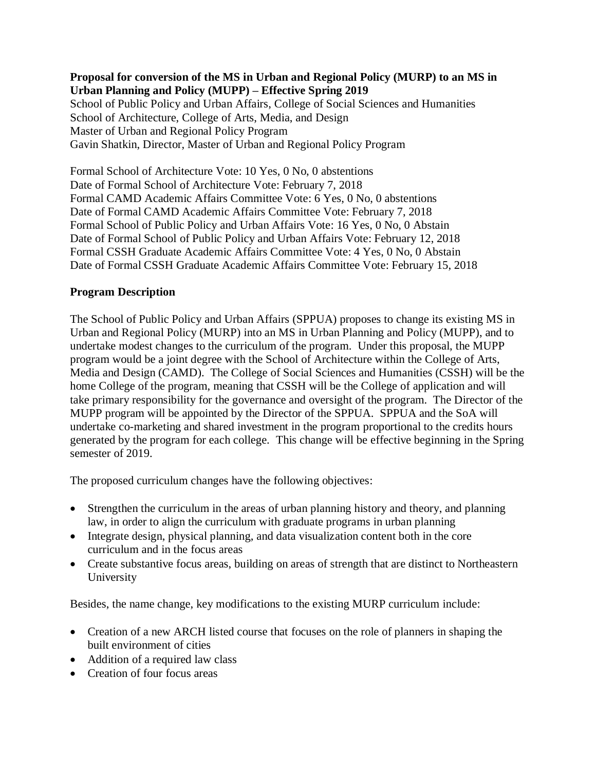### **Proposal for conversion of the MS in Urban and Regional Policy (MURP) to an MS in Urban Planning and Policy (MUPP) – Effective Spring 2019**

School of Public Policy and Urban Affairs, College of Social Sciences and Humanities School of Architecture, College of Arts, Media, and Design Master of Urban and Regional Policy Program Gavin Shatkin, Director, Master of Urban and Regional Policy Program

Formal School of Architecture Vote: 10 Yes, 0 No, 0 abstentions Date of Formal School of Architecture Vote: February 7, 2018 Formal CAMD Academic Affairs Committee Vote: 6 Yes, 0 No, 0 abstentions Date of Formal CAMD Academic Affairs Committee Vote: February 7, 2018 Formal School of Public Policy and Urban Affairs Vote: 16 Yes, 0 No, 0 Abstain Date of Formal School of Public Policy and Urban Affairs Vote: February 12, 2018 Formal CSSH Graduate Academic Affairs Committee Vote: 4 Yes, 0 No, 0 Abstain Date of Formal CSSH Graduate Academic Affairs Committee Vote: February 15, 2018

## **Program Description**

The School of Public Policy and Urban Affairs (SPPUA) proposes to change its existing MS in Urban and Regional Policy (MURP) into an MS in Urban Planning and Policy (MUPP), and to undertake modest changes to the curriculum of the program. Under this proposal, the MUPP program would be a joint degree with the School of Architecture within the College of Arts, Media and Design (CAMD). The College of Social Sciences and Humanities (CSSH) will be the home College of the program, meaning that CSSH will be the College of application and will take primary responsibility for the governance and oversight of the program. The Director of the MUPP program will be appointed by the Director of the SPPUA. SPPUA and the SoA will undertake co-marketing and shared investment in the program proportional to the credits hours generated by the program for each college. This change will be effective beginning in the Spring semester of 2019.

The proposed curriculum changes have the following objectives:

- Strengthen the curriculum in the areas of urban planning history and theory, and planning law, in order to align the curriculum with graduate programs in urban planning
- Integrate design, physical planning, and data visualization content both in the core curriculum and in the focus areas
- Create substantive focus areas, building on areas of strength that are distinct to Northeastern University

Besides, the name change, key modifications to the existing MURP curriculum include:

- Creation of a new ARCH listed course that focuses on the role of planners in shaping the built environment of cities
- Addition of a required law class
- Creation of four focus areas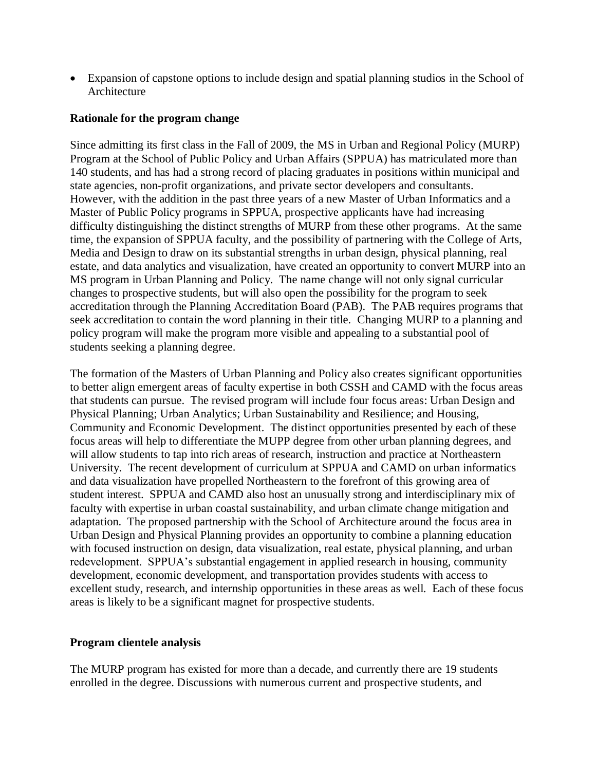• Expansion of capstone options to include design and spatial planning studios in the School of Architecture

#### **Rationale for the program change**

Since admitting its first class in the Fall of 2009, the MS in Urban and Regional Policy (MURP) Program at the School of Public Policy and Urban Affairs (SPPUA) has matriculated more than 140 students, and has had a strong record of placing graduates in positions within municipal and state agencies, non-profit organizations, and private sector developers and consultants. However, with the addition in the past three years of a new Master of Urban Informatics and a Master of Public Policy programs in SPPUA, prospective applicants have had increasing difficulty distinguishing the distinct strengths of MURP from these other programs. At the same time, the expansion of SPPUA faculty, and the possibility of partnering with the College of Arts, Media and Design to draw on its substantial strengths in urban design, physical planning, real estate, and data analytics and visualization, have created an opportunity to convert MURP into an MS program in Urban Planning and Policy. The name change will not only signal curricular changes to prospective students, but will also open the possibility for the program to seek accreditation through the Planning Accreditation Board (PAB). The PAB requires programs that seek accreditation to contain the word planning in their title. Changing MURP to a planning and policy program will make the program more visible and appealing to a substantial pool of students seeking a planning degree.

The formation of the Masters of Urban Planning and Policy also creates significant opportunities to better align emergent areas of faculty expertise in both CSSH and CAMD with the focus areas that students can pursue. The revised program will include four focus areas: Urban Design and Physical Planning; Urban Analytics; Urban Sustainability and Resilience; and Housing, Community and Economic Development. The distinct opportunities presented by each of these focus areas will help to differentiate the MUPP degree from other urban planning degrees, and will allow students to tap into rich areas of research, instruction and practice at Northeastern University. The recent development of curriculum at SPPUA and CAMD on urban informatics and data visualization have propelled Northeastern to the forefront of this growing area of student interest. SPPUA and CAMD also host an unusually strong and interdisciplinary mix of faculty with expertise in urban coastal sustainability, and urban climate change mitigation and adaptation. The proposed partnership with the School of Architecture around the focus area in Urban Design and Physical Planning provides an opportunity to combine a planning education with focused instruction on design, data visualization, real estate, physical planning, and urban redevelopment. SPPUA's substantial engagement in applied research in housing, community development, economic development, and transportation provides students with access to excellent study, research, and internship opportunities in these areas as well. Each of these focus areas is likely to be a significant magnet for prospective students.

#### **Program clientele analysis**

The MURP program has existed for more than a decade, and currently there are 19 students enrolled in the degree. Discussions with numerous current and prospective students, and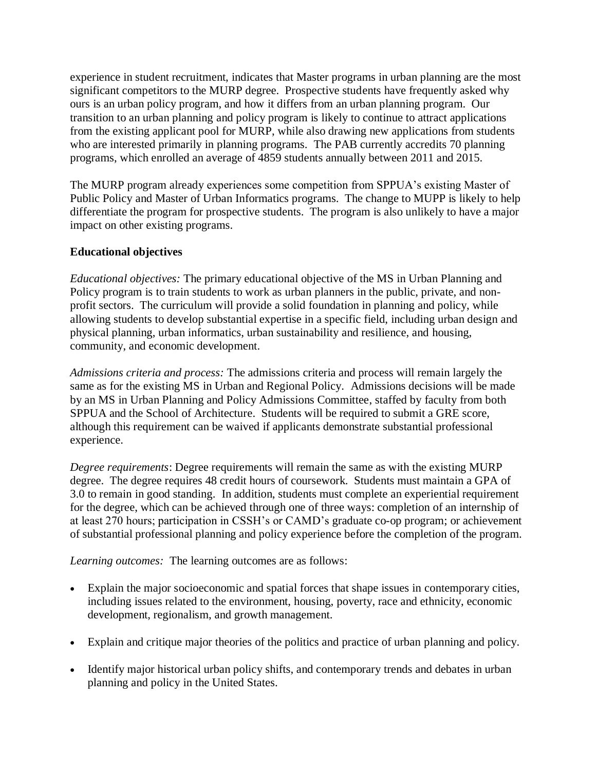experience in student recruitment, indicates that Master programs in urban planning are the most significant competitors to the MURP degree. Prospective students have frequently asked why ours is an urban policy program, and how it differs from an urban planning program. Our transition to an urban planning and policy program is likely to continue to attract applications from the existing applicant pool for MURP, while also drawing new applications from students who are interested primarily in planning programs. The PAB currently accredits 70 planning programs, which enrolled an average of 4859 students annually between 2011 and 2015.

The MURP program already experiences some competition from SPPUA's existing Master of Public Policy and Master of Urban Informatics programs. The change to MUPP is likely to help differentiate the program for prospective students. The program is also unlikely to have a major impact on other existing programs.

### **Educational objectives**

*Educational objectives:* The primary educational objective of the MS in Urban Planning and Policy program is to train students to work as urban planners in the public, private, and nonprofit sectors. The curriculum will provide a solid foundation in planning and policy, while allowing students to develop substantial expertise in a specific field, including urban design and physical planning, urban informatics, urban sustainability and resilience, and housing, community, and economic development.

*Admissions criteria and process:* The admissions criteria and process will remain largely the same as for the existing MS in Urban and Regional Policy. Admissions decisions will be made by an MS in Urban Planning and Policy Admissions Committee, staffed by faculty from both SPPUA and the School of Architecture. Students will be required to submit a GRE score, although this requirement can be waived if applicants demonstrate substantial professional experience.

*Degree requirements*: Degree requirements will remain the same as with the existing MURP degree. The degree requires 48 credit hours of coursework. Students must maintain a GPA of 3.0 to remain in good standing. In addition, students must complete an experiential requirement for the degree, which can be achieved through one of three ways: completion of an internship of at least 270 hours; participation in CSSH's or CAMD's graduate co-op program; or achievement of substantial professional planning and policy experience before the completion of the program.

*Learning outcomes:* The learning outcomes are as follows:

- Explain the major socioeconomic and spatial forces that shape issues in contemporary cities, including issues related to the environment, housing, poverty, race and ethnicity, economic development, regionalism, and growth management.
- Explain and critique major theories of the politics and practice of urban planning and policy.
- Identify major historical urban policy shifts, and contemporary trends and debates in urban planning and policy in the United States.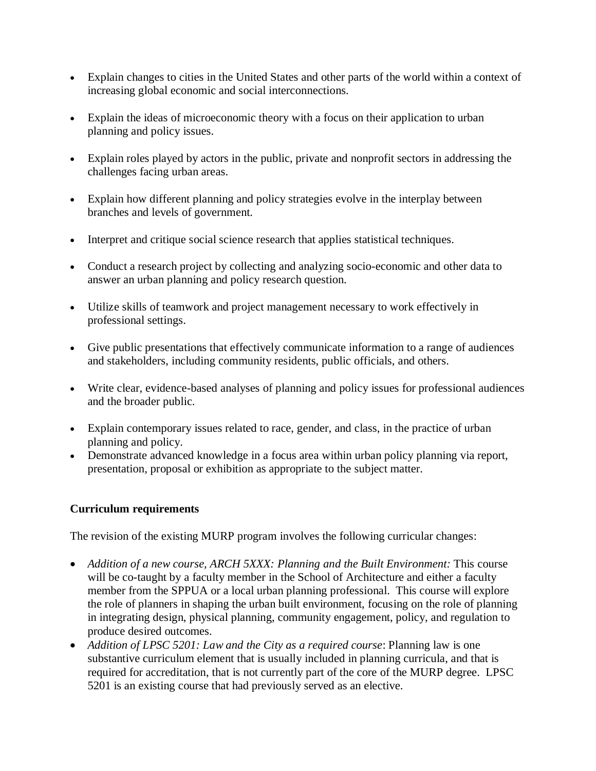- Explain changes to cities in the United States and other parts of the world within a context of increasing global economic and social interconnections.
- Explain the ideas of microeconomic theory with a focus on their application to urban planning and policy issues.
- Explain roles played by actors in the public, private and nonprofit sectors in addressing the challenges facing urban areas.
- Explain how different planning and policy strategies evolve in the interplay between branches and levels of government.
- Interpret and critique social science research that applies statistical techniques.
- Conduct a research project by collecting and analyzing socio-economic and other data to answer an urban planning and policy research question.
- Utilize skills of teamwork and project management necessary to work effectively in professional settings.
- Give public presentations that effectively communicate information to a range of audiences and stakeholders, including community residents, public officials, and others.
- Write clear, evidence-based analyses of planning and policy issues for professional audiences and the broader public.
- Explain contemporary issues related to race, gender, and class, in the practice of urban planning and policy.
- Demonstrate advanced knowledge in a focus area within urban policy planning via report, presentation, proposal or exhibition as appropriate to the subject matter.

## **Curriculum requirements**

The revision of the existing MURP program involves the following curricular changes:

- *Addition of a new course, ARCH 5XXX: Planning and the Built Environment:* This course will be co-taught by a faculty member in the School of Architecture and either a faculty member from the SPPUA or a local urban planning professional. This course will explore the role of planners in shaping the urban built environment, focusing on the role of planning in integrating design, physical planning, community engagement, policy, and regulation to produce desired outcomes.
- *Addition of LPSC 5201: Law and the City as a required course*: Planning law is one substantive curriculum element that is usually included in planning curricula, and that is required for accreditation, that is not currently part of the core of the MURP degree. LPSC 5201 is an existing course that had previously served as an elective.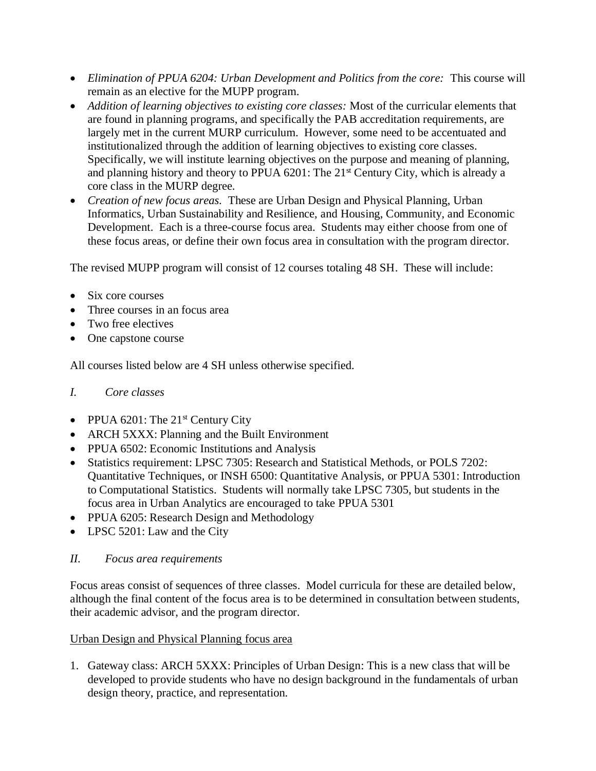- *Elimination of PPUA 6204: Urban Development and Politics from the core:* This course will remain as an elective for the MUPP program.
- *Addition of learning objectives to existing core classes:* Most of the curricular elements that are found in planning programs, and specifically the PAB accreditation requirements, are largely met in the current MURP curriculum. However, some need to be accentuated and institutionalized through the addition of learning objectives to existing core classes. Specifically, we will institute learning objectives on the purpose and meaning of planning, and planning history and theory to PPUA 6201: The 21<sup>st</sup> Century City, which is already a core class in the MURP degree.
- *Creation of new focus areas.* These are Urban Design and Physical Planning, Urban Informatics, Urban Sustainability and Resilience, and Housing, Community, and Economic Development. Each is a three-course focus area. Students may either choose from one of these focus areas, or define their own focus area in consultation with the program director.

The revised MUPP program will consist of 12 courses totaling 48 SH. These will include:

- Six core courses
- Three courses in an focus area
- Two free electives
- One capstone course

All courses listed below are 4 SH unless otherwise specified.

# *I. Core classes*

- PPUA 6201: The  $21<sup>st</sup>$  Century City
- ARCH 5XXX: Planning and the Built Environment
- PPUA 6502: Economic Institutions and Analysis
- Statistics requirement: LPSC 7305: Research and Statistical Methods, or POLS 7202: Quantitative Techniques, or INSH 6500: Quantitative Analysis, or PPUA 5301: Introduction to Computational Statistics. Students will normally take LPSC 7305, but students in the focus area in Urban Analytics are encouraged to take PPUA 5301
- PPUA 6205: Research Design and Methodology
- LPSC 5201: Law and the City

# *II. Focus area requirements*

Focus areas consist of sequences of three classes. Model curricula for these are detailed below, although the final content of the focus area is to be determined in consultation between students, their academic advisor, and the program director.

# Urban Design and Physical Planning focus area

1. Gateway class: ARCH 5XXX: Principles of Urban Design: This is a new class that will be developed to provide students who have no design background in the fundamentals of urban design theory, practice, and representation.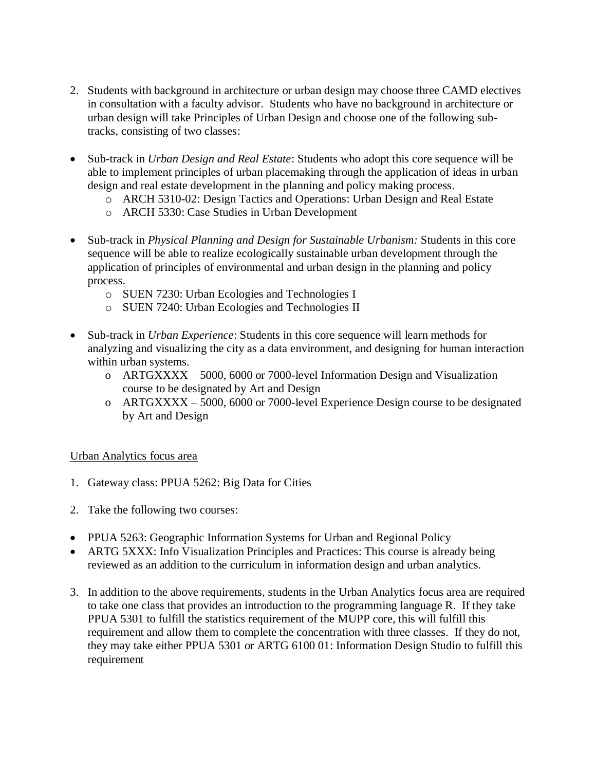- 2. Students with background in architecture or urban design may choose three CAMD electives in consultation with a faculty advisor. Students who have no background in architecture or urban design will take Principles of Urban Design and choose one of the following subtracks, consisting of two classes:
- Sub-track in *Urban Design and Real Estate*: Students who adopt this core sequence will be able to implement principles of urban placemaking through the application of ideas in urban design and real estate development in the planning and policy making process.
	- o ARCH 5310-02: Design Tactics and Operations: Urban Design and Real Estate
	- o ARCH 5330: Case Studies in Urban Development
- Sub-track in *Physical Planning and Design for Sustainable Urbanism:* Students in this core sequence will be able to realize ecologically sustainable urban development through the application of principles of environmental and urban design in the planning and policy process.
	- o SUEN 7230: Urban Ecologies and Technologies I
	- o SUEN 7240: Urban Ecologies and Technologies II
- Sub-track in *Urban Experience*: Students in this core sequence will learn methods for analyzing and visualizing the city as a data environment, and designing for human interaction within urban systems.
	- o ARTGXXXX 5000, 6000 or 7000-level Information Design and Visualization course to be designated by Art and Design
	- o ARTGXXXX 5000, 6000 or 7000-level Experience Design course to be designated by Art and Design

## Urban Analytics focus area

- 1. Gateway class: PPUA 5262: Big Data for Cities
- 2. Take the following two courses:
- PPUA 5263: Geographic Information Systems for Urban and Regional Policy
- ARTG 5XXX: Info Visualization Principles and Practices: This course is already being reviewed as an addition to the curriculum in information design and urban analytics.
- 3. In addition to the above requirements, students in the Urban Analytics focus area are required to take one class that provides an introduction to the programming language R. If they take PPUA 5301 to fulfill the statistics requirement of the MUPP core, this will fulfill this requirement and allow them to complete the concentration with three classes. If they do not, they may take either PPUA 5301 or ARTG 6100 01: Information Design Studio to fulfill this requirement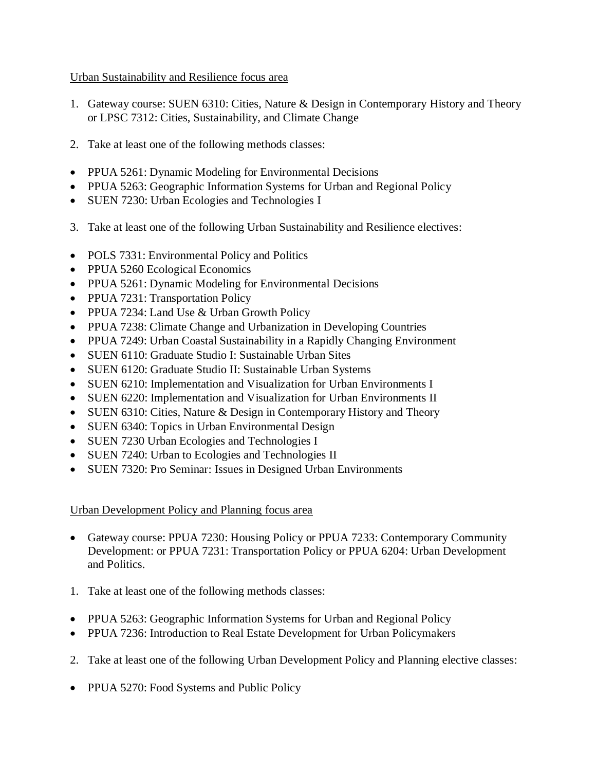## Urban Sustainability and Resilience focus area

- 1. Gateway course: SUEN 6310: Cities, Nature & Design in Contemporary History and Theory or LPSC 7312: Cities, Sustainability, and Climate Change
- 2. Take at least one of the following methods classes:
- PPUA 5261: Dynamic Modeling for Environmental Decisions
- PPUA 5263: Geographic Information Systems for Urban and Regional Policy
- SUEN 7230: Urban Ecologies and Technologies I
- 3. Take at least one of the following Urban Sustainability and Resilience electives:
- POLS 7331: Environmental Policy and Politics
- PPUA 5260 Ecological Economics
- PPUA 5261: Dynamic Modeling for Environmental Decisions
- [PPUA 7231: Transportation Policy](http://www.northeastern.edu/murp/wp-content/uploads/PPUA-7231-Summer-2012-Pollack.docx)
- PPUA 7234: Land Use & Urban Growth Policy
- PPUA 7238: Climate Change and Urbanization in Developing Countries
- PPUA 7249: Urban Coastal Sustainability in a Rapidly Changing Environment
- SUEN 6110: Graduate Studio I: Sustainable Urban Sites
- SUEN 6120: Graduate Studio II: Sustainable Urban Systems
- SUEN 6210: Implementation and Visualization for Urban Environments I
- SUEN 6220: Implementation and Visualization for Urban Environments II
- SUEN 6310: Cities, Nature & Design in Contemporary History and Theory
- SUEN 6340: Topics in Urban Environmental Design
- SUEN 7230 Urban Ecologies and Technologies I
- SUEN 7240: Urban to Ecologies and Technologies II
- SUEN 7320: Pro Seminar: Issues in Designed Urban Environments

## Urban Development Policy and Planning focus area

- Gateway course: PPUA 7230: Housing Policy or PPUA 7233: Contemporary Community Development: or [PPUA 7231: Transportation Policy](http://www.northeastern.edu/murp/wp-content/uploads/PPUA-7231-Summer-2012-Pollack.docx) or PPUA 6204: Urban Development and Politics.
- 1. Take at least one of the following methods classes:
- PPUA 5263: Geographic Information Systems for Urban and Regional Policy
- PPUA 7236: Introduction to Real Estate Development for Urban Policymakers
- 2. Take at least one of the following Urban Development Policy and Planning elective classes:
- PPUA 5270: Food Systems and Public Policy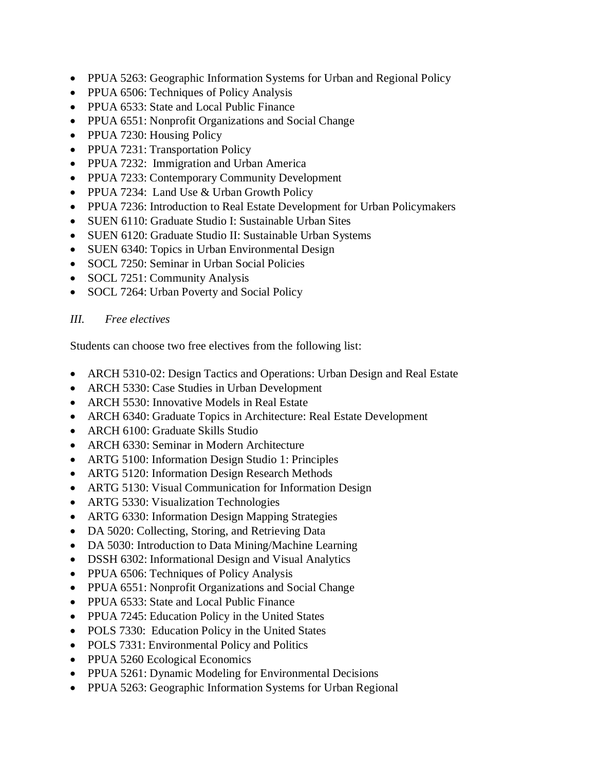- PPUA 5263: Geographic Information Systems for Urban and Regional Policy
- PPUA 6506: Techniques of Policy Analysis
- PPUA 6533: State and Local Public Finance
- PPUA 6551: Nonprofit Organizations and Social Change
- PPUA 7230: Housing Policy
- [PPUA 7231: Transportation Policy](http://www.northeastern.edu/murp/wp-content/uploads/PPUA-7231-Summer-2012-Pollack.docx)
- [PPUA 7232: Immigration and Urban America](http://www.neu.edu/murp/wp-content/uploads/PPUA7232-Dominguez.docx)
- PPUA 7233: Contemporary Community Development
- PPUA 7234: Land Use & Urban Growth Policy
- PPUA 7236: Introduction to Real Estate Development for Urban Policymakers
- SUEN 6110: Graduate Studio I: Sustainable Urban Sites
- SUEN 6120: Graduate Studio II: Sustainable Urban Systems
- SUEN 6340: Topics in Urban Environmental Design
- SOCL 7250: Seminar in Urban Social Policies
- SOCL 7251: Community Analysis
- SOCL 7264: Urban Poverty and Social Policy

## *III. Free electives*

Students can choose two free electives from the following list:

- ARCH 5310-02: Design Tactics and Operations: Urban Design and Real Estate
- ARCH 5330: Case Studies in Urban Development
- ARCH 5530: Innovative Models in Real Estate
- ARCH 6340: Graduate Topics in Architecture: Real Estate Development
- ARCH 6100: Graduate Skills Studio
- ARCH 6330: Seminar in Modern Architecture
- ARTG 5100: Information Design Studio 1: Principles
- ARTG 5120: Information Design Research Methods
- ARTG 5130: Visual Communication for Information Design
- ARTG 5330: Visualization Technologies
- ARTG 6330: Information Design Mapping Strategies
- DA 5020: Collecting, Storing, and Retrieving Data
- DA 5030: Introduction to Data Mining/Machine Learning
- DSSH 6302: Informational Design and Visual Analytics
- PPUA 6506: Techniques of Policy Analysis
- PPUA 6551: Nonprofit Organizations and Social Change
- PPUA 6533: State and Local Public Finance
- PPUA 7245: Education Policy in the United States
- POLS 7330: Education Policy in the United States
- POLS 7331: Environmental Policy and Politics
- PPUA 5260 Ecological Economics
- PPUA 5261: Dynamic Modeling for Environmental Decisions
- PPUA 5263: Geographic Information Systems for Urban Regional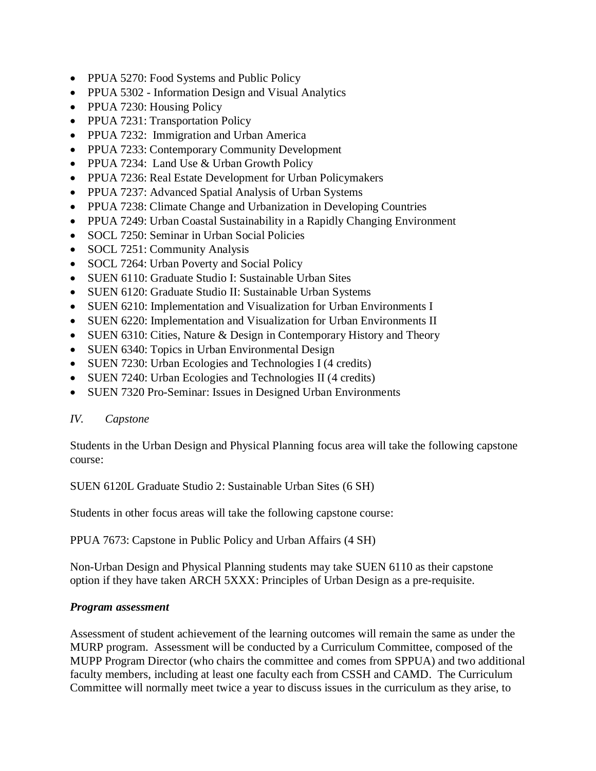- PPUA 5270: Food Systems and Public Policy
- PPUA 5302 Information Design and Visual Analytics
- PPUA 7230: Housing Policy
- [PPUA 7231: Transportation Policy](http://www.northeastern.edu/murp/wp-content/uploads/PPUA-7231-Summer-2012-Pollack.docx)
- [PPUA 7232: Immigration and Urban America](http://www.neu.edu/murp/wp-content/uploads/PPUA7232-Dominguez.docx)
- PPUA 7233: Contemporary Community Development
- PPUA 7234: Land Use & Urban Growth Policy
- PPUA 7236: Real Estate Development for Urban Policymakers
- PPUA 7237: Advanced Spatial Analysis of Urban Systems
- PPUA 7238: Climate Change and Urbanization in Developing Countries
- PPUA 7249: Urban Coastal Sustainability in a Rapidly Changing Environment
- SOCL 7250: Seminar in Urban Social Policies
- SOCL 7251: Community Analysis
- SOCL 7264: Urban Poverty and Social Policy
- SUEN 6110: Graduate Studio I: Sustainable Urban Sites
- SUEN 6120: Graduate Studio II: Sustainable Urban Systems
- SUEN 6210: Implementation and Visualization for Urban Environments I
- SUEN 6220: Implementation and Visualization for Urban Environments II
- SUEN 6310: Cities, Nature & Design in Contemporary History and Theory
- SUEN 6340: Topics in Urban Environmental Design
- SUEN 7230: Urban Ecologies and Technologies I (4 credits)
- SUEN 7240: Urban Ecologies and Technologies II (4 credits)
- SUEN 7320 Pro-Seminar: Issues in Designed Urban Environments

## *IV. Capstone*

Students in the Urban Design and Physical Planning focus area will take the following capstone course:

SUEN 6120L Graduate Studio 2: Sustainable Urban Sites (6 SH)

Students in other focus areas will take the following capstone course:

PPUA 7673: Capstone in Public Policy and Urban Affairs (4 SH)

Non-Urban Design and Physical Planning students may take SUEN 6110 as their capstone option if they have taken ARCH 5XXX: Principles of Urban Design as a pre-requisite.

## *Program assessment*

Assessment of student achievement of the learning outcomes will remain the same as under the MURP program. Assessment will be conducted by a Curriculum Committee, composed of the MUPP Program Director (who chairs the committee and comes from SPPUA) and two additional faculty members, including at least one faculty each from CSSH and CAMD. The Curriculum Committee will normally meet twice a year to discuss issues in the curriculum as they arise, to